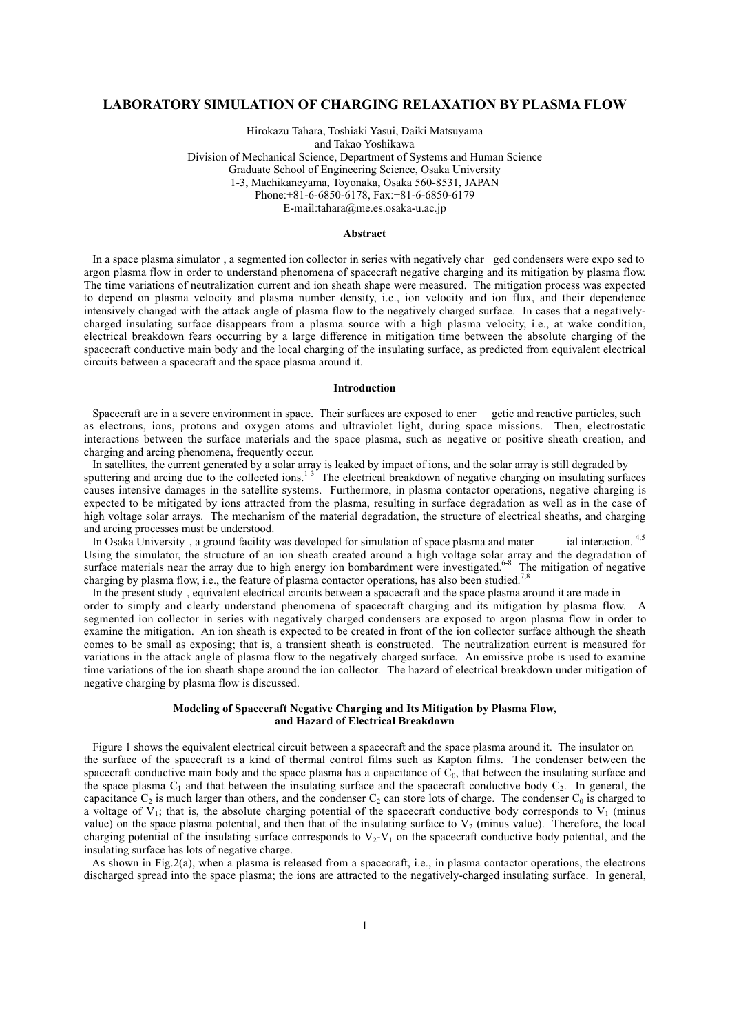# **LABORATORY SIMULATION OF CHARGING RELAXATION BY PLASMA FLOW**

Hirokazu Tahara, Toshiaki Yasui, Daiki Matsuyama and Takao Yoshikawa Division of Mechanical Science, Department of Systems and Human Science Graduate School of Engineering Science, Osaka University 1-3, Machikaneyama, Toyonaka, Osaka 560-8531, JAPAN Phone:+81-6-6850-6178, Fax:+81-6-6850-6179 E-mail:tahara@me.es.osaka-u.ac.jp

# **Abstract**

 In a space plasma simulator , a segmented ion collector in series with negatively char ged condensers were expo sed to argon plasma flow in order to understand phenomena of spacecraft negative charging and its mitigation by plasma flow. The time variations of neutralization current and ion sheath shape were measured. The mitigation process was expected to depend on plasma velocity and plasma number density, i.e., ion velocity and ion flux, and their dependence intensively changed with the attack angle of plasma flow to the negatively charged surface. In cases that a negativelycharged insulating surface disappears from a plasma source with a high plasma velocity, i.e., at wake condition, electrical breakdown fears occurring by a large difference in mitigation time between the absolute charging of the spacecraft conductive main body and the local charging of the insulating surface, as predicted from equivalent electrical circuits between a spacecraft and the space plasma around it.

## **Introduction**

Spacecraft are in a severe environment in space. Their surfaces are exposed to ener getic and reactive particles, such as electrons, ions, protons and oxygen atoms and ultraviolet light, during space missions. Then, electrostatic interactions between the surface materials and the space plasma, such as negative or positive sheath creation, and charging and arcing phenomena, frequently occur.

 In satellites, the current generated by a solar array is leaked by impact of ions, and the solar array is still degraded by sputtering and arcing due to the collected ions.<sup>1-3</sup> The electrical breakdown of negative charging on insulating surfaces causes intensive damages in the satellite systems. Furthermore, in plasma contactor operations, negative charging is expected to be mitigated by ions attracted from the plasma, resulting in surface degradation as well as in the case of high voltage solar arrays. The mechanism of the material degradation, the structure of electrical sheaths, and charging and arcing processes must be understood.

In Osaka University, a ground facility was developed for simulation of space plasma and mater ial interaction. <sup>4,5</sup> Using the simulator, the structure of an ion sheath created around a high voltage solar array and the degradation of surface materials near the array due to high energy ion bombardment were investigated.<sup>6-8</sup> The mitigation of negative charging by plasma flow, i.e., the feature of plasma contactor operations, has also been studied.<sup>7,</sup>

 In the present study , equivalent electrical circuits between a spacecraft and the space plasma around it are made in order to simply and clearly understand phenomena of spacecraft charging and its mitigation by plasma flow. A segmented ion collector in series with negatively charged condensers are exposed to argon plasma flow in order to examine the mitigation. An ion sheath is expected to be created in front of the ion collector surface although the sheath comes to be small as exposing; that is, a transient sheath is constructed. The neutralization current is measured for variations in the attack angle of plasma flow to the negatively charged surface. An emissive probe is used to examine time variations of the ion sheath shape around the ion collector. The hazard of electrical breakdown under mitigation of negative charging by plasma flow is discussed.

# **Modeling of Spacecraft Negative Charging and Its Mitigation by Plasma Flow, and Hazard of Electrical Breakdown**

 Figure 1 shows the equivalent electrical circuit between a spacecraft and the space plasma around it. The insulator on the surface of the spacecraft is a kind of thermal control films such as Kapton films. The condenser between the spacecraft conductive main body and the space plasma has a capacitance of  $\hat{C}_0$ , that between the insulating surface and the space plasma  $C_1$  and that between the insulating surface and the spacecraft conductive body  $C_2$ . In general, the capacitance  $C_2$  is much larger than others, and the condenser  $C_2$  can store lots of charge. The condenser  $C_0$  is charged to a voltage of  $V_1$ ; that is, the absolute charging potential of the spacecraft conductive body corresponds to  $V_1$  (minus value) on the space plasma potential, and then that of the insulating surface to  $V_2$  (minus value). Therefore, the local charging potential of the insulating surface corresponds to  $V_2-V_1$  on the spacecraft conductive body potential, and the insulating surface has lots of negative charge.

 As shown in Fig.2(a), when a plasma is released from a spacecraft, i.e., in plasma contactor operations, the electrons discharged spread into the space plasma; the ions are attracted to the negatively-charged insulating surface. In general,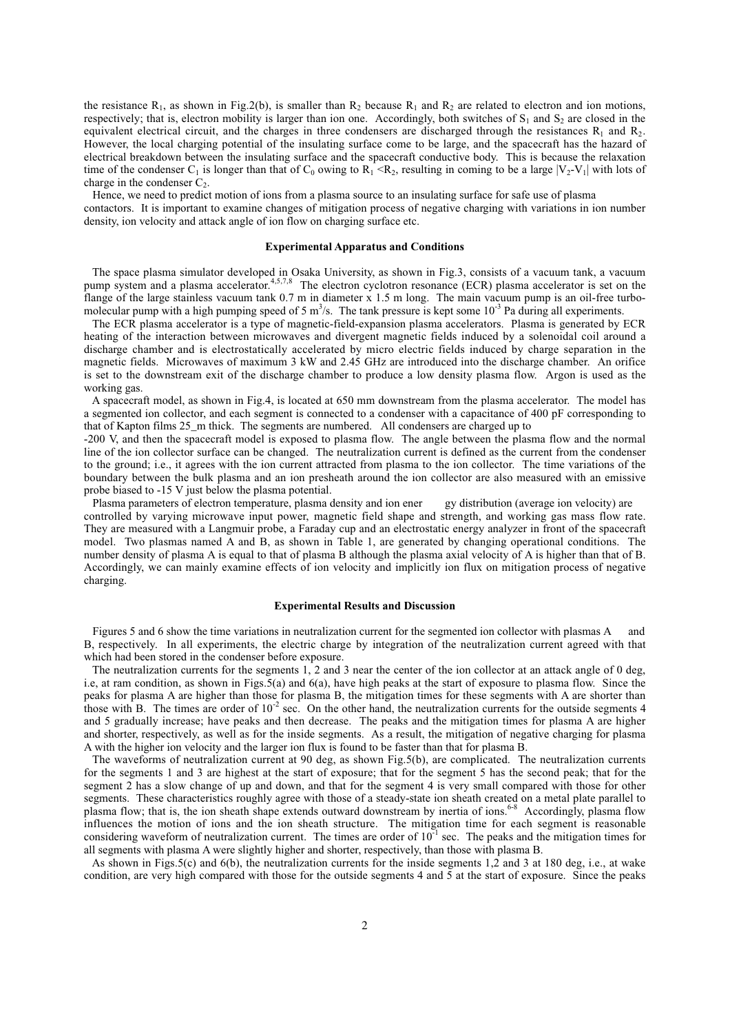the resistance  $R_1$ , as shown in Fig.2(b), is smaller than  $R_2$  because  $R_1$  and  $R_2$  are related to electron and ion motions, respectively; that is, electron mobility is larger than ion one. Accordingly, both switches of  $S_1$  and  $S_2$  are closed in the equivalent electrical circuit, and the charges in three condensers are discharged through the resistances  $R_1$  and  $R_2$ . However, the local charging potential of the insulating surface come to be large, and the spacecraft has the hazard of electrical breakdown between the insulating surface and the spacecraft conductive body. This is because the relaxation time of the condenser C<sub>1</sub> is longer than that of C<sub>0</sub> owing to R<sub>1</sub> <R<sub>2</sub>, resulting in coming to be a large  $|V_2-V_1|$  with lots of charge in the condenser  $C_2$ .

 Hence, we need to predict motion of ions from a plasma source to an insulating surface for safe use of plasma contactors. It is important to examine changes of mitigation process of negative charging with variations in ion number density, ion velocity and attack angle of ion flow on charging surface etc.

## **Experimental Apparatus and Conditions**

 The space plasma simulator developed in Osaka University, as shown in Fig.3, consists of a vacuum tank, a vacuum pump system and a plasma accelerator.<sup>4,5,7,8</sup> The electron cyclotron resonance (ECR) plasma accelerator is set on the flange of the large stainless vacuum tank 0.7 m in diameter x 1.5 m long. The main vacuum pump is an oil-free turbomolecular pump with a high pumping speed of 5 m<sup>3</sup>/s. The tank pressure is kept some  $10^{-3}$  Pa during all experiments.

 The ECR plasma accelerator is a type of magnetic-field-expansion plasma accelerators. Plasma is generated by ECR heating of the interaction between microwaves and divergent magnetic fields induced by a solenoidal coil around a discharge chamber and is electrostatically accelerated by micro electric fields induced by charge separation in the magnetic fields. Microwaves of maximum 3 kW and 2.45 GHz are introduced into the discharge chamber. An orifice is set to the downstream exit of the discharge chamber to produce a low density plasma flow. Argon is used as the working gas.

 A spacecraft model, as shown in Fig.4, is located at 650 mm downstream from the plasma accelerator. The model has a segmented ion collector, and each segment is connected to a condenser with a capacitance of 400 pF corresponding to that of Kapton films 25\_m thick. The segments are numbered. All condensers are charged up to

-200 V, and then the spacecraft model is exposed to plasma flow. The angle between the plasma flow and the normal line of the ion collector surface can be changed. The neutralization current is defined as the current from the condenser to the ground; i.e., it agrees with the ion current attracted from plasma to the ion collector. The time variations of the boundary between the bulk plasma and an ion presheath around the ion collector are also measured with an emissive probe biased to -15 V just below the plasma potential.

Plasma parameters of electron temperature, plasma density and ion ener gy distribution (average ion velocity) are controlled by varying microwave input power, magnetic field shape and strength, and working gas mass flow rate. They are measured with a Langmuir probe, a Faraday cup and an electrostatic energy analyzer in front of the spacecraft model. Two plasmas named A and B, as shown in Table 1, are generated by changing operational conditions. The number density of plasma A is equal to that of plasma B although the plasma axial velocity of A is higher than that of B. Accordingly, we can mainly examine effects of ion velocity and implicitly ion flux on mitigation process of negative charging.

#### **Experimental Results and Discussion**

Figures 5 and 6 show the time variations in neutralization current for the segmented ion collector with plasmas A and B, respectively. In all experiments, the electric charge by integration of the neutralization current agreed with that which had been stored in the condenser before exposure.

 The neutralization currents for the segments 1, 2 and 3 near the center of the ion collector at an attack angle of 0 deg, i.e, at ram condition, as shown in Figs.5(a) and  $6(a)$ , have high peaks at the start of exposure to plasma flow. Since the peaks for plasma A are higher than those for plasma B, the mitigation times for these segments with A are shorter than those with B. The times are order of  $10^{-2}$  sec. On the other hand, the neutralization currents for the outside segments 4 and 5 gradually increase; have peaks and then decrease. The peaks and the mitigation times for plasma A are higher and shorter, respectively, as well as for the inside segments. As a result, the mitigation of negative charging for plasma A with the higher ion velocity and the larger ion flux is found to be faster than that for plasma B.

 The waveforms of neutralization current at 90 deg, as shown Fig.5(b), are complicated. The neutralization currents for the segments 1 and 3 are highest at the start of exposure; that for the segment 5 has the second peak; that for the segment 2 has a slow change of up and down, and that for the segment 4 is very small compared with those for other segments. These characteristics roughly agree with those of a steady-state ion sheath created on a metal plate parallel to plasma flow; that is, the ion sheath shape extends outward downstream by inertia of ions.<sup>6-8</sup> Accordingly, plasma flow influences the motion of ions and the ion sheath structure. The mitigation time for each segment is reasonable considering waveform of neutralization current. The times are order of  $10^{-1}$  sec. The peaks and the mitigation times for all segments with plasma A were slightly higher and shorter, respectively, than those with plasma B.

 As shown in Figs.5(c) and 6(b), the neutralization currents for the inside segments 1,2 and 3 at 180 deg, i.e., at wake condition, are very high compared with those for the outside segments 4 and 5 at the start of exposure. Since the peaks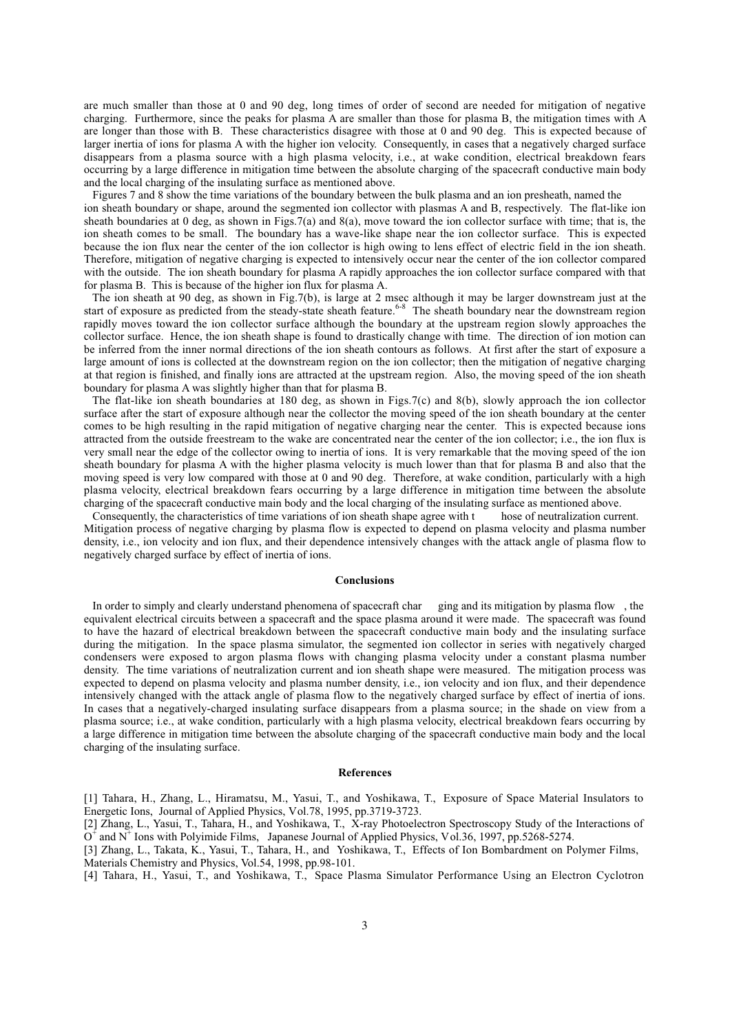are much smaller than those at 0 and 90 deg, long times of order of second are needed for mitigation of negative charging. Furthermore, since the peaks for plasma A are smaller than those for plasma B, the mitigation times with A are longer than those with B. These characteristics disagree with those at 0 and 90 deg. This is expected because of larger inertia of ions for plasma A with the higher ion velocity. Consequently, in cases that a negatively charged surface disappears from a plasma source with a high plasma velocity, i.e., at wake condition, electrical breakdown fears occurring by a large difference in mitigation time between the absolute charging of the spacecraft conductive main body and the local charging of the insulating surface as mentioned above.

 Figures 7 and 8 show the time variations of the boundary between the bulk plasma and an ion presheath, named the ion sheath boundary or shape, around the segmented ion collector with plasmas A and B, respectively. The flat-like ion sheath boundaries at 0 deg, as shown in Figs.7(a) and  $8(a)$ , move toward the ion collector surface with time; that is, the ion sheath comes to be small. The boundary has a wave-like shape near the ion collector surface. This is expected because the ion flux near the center of the ion collector is high owing to lens effect of electric field in the ion sheath. Therefore, mitigation of negative charging is expected to intensively occur near the center of the ion collector compared with the outside. The ion sheath boundary for plasma A rapidly approaches the ion collector surface compared with that for plasma B. This is because of the higher ion flux for plasma A.

 The ion sheath at 90 deg, as shown in Fig.7(b), is large at 2 msec although it may be larger downstream just at the start of exposure as predicted from the steady-state sheath feature.<sup>6-8</sup> The sheath boundary near the downstream region rapidly moves toward the ion collector surface although the boundary at the upstream region slowly approaches the collector surface. Hence, the ion sheath shape is found to drastically change with time. The direction of ion motion can be inferred from the inner normal directions of the ion sheath contours as follows. At first after the start of exposure a large amount of ions is collected at the downstream region on the ion collector; then the mitigation of negative charging at that region is finished, and finally ions are attracted at the upstream region. Also, the moving speed of the ion sheath boundary for plasma A was slightly higher than that for plasma B.

 The flat-like ion sheath boundaries at 180 deg, as shown in Figs.7(c) and 8(b), slowly approach the ion collector surface after the start of exposure although near the collector the moving speed of the ion sheath boundary at the center comes to be high resulting in the rapid mitigation of negative charging near the center. This is expected because ions attracted from the outside freestream to the wake are concentrated near the center of the ion collector; i.e., the ion flux is very small near the edge of the collector owing to inertia of ions. It is very remarkable that the moving speed of the ion sheath boundary for plasma A with the higher plasma velocity is much lower than that for plasma B and also that the moving speed is very low compared with those at 0 and 90 deg. Therefore, at wake condition, particularly with a high plasma velocity, electrical breakdown fears occurring by a large difference in mitigation time between the absolute charging of the spacecraft conductive main body and the local charging of the insulating surface as mentioned above.

 Consequently, the characteristics of time variations of ion sheath shape agree with t hose of neutralization current. Mitigation process of negative charging by plasma flow is expected to depend on plasma velocity and plasma number density, i.e., ion velocity and ion flux, and their dependence intensively changes with the attack angle of plasma flow to negatively charged surface by effect of inertia of ions.

#### **Conclusions**

 In order to simply and clearly understand phenomena of spacecraft char ging and its mitigation by plasma flow , the equivalent electrical circuits between a spacecraft and the space plasma around it were made. The spacecraft was found to have the hazard of electrical breakdown between the spacecraft conductive main body and the insulating surface during the mitigation. In the space plasma simulator, the segmented ion collector in series with negatively charged condensers were exposed to argon plasma flows with changing plasma velocity under a constant plasma number density. The time variations of neutralization current and ion sheath shape were measured. The mitigation process was expected to depend on plasma velocity and plasma number density, i.e., ion velocity and ion flux, and their dependence intensively changed with the attack angle of plasma flow to the negatively charged surface by effect of inertia of ions. In cases that a negatively-charged insulating surface disappears from a plasma source; in the shade on view from a plasma source; i.e., at wake condition, particularly with a high plasma velocity, electrical breakdown fears occurring by a large difference in mitigation time between the absolute charging of the spacecraft conductive main body and the local charging of the insulating surface.

#### **References**

[1] Tahara, H., Zhang, L., Hiramatsu, M., Yasui, T., and Yoshikawa, T., Exposure of Space Material Insulators to Energetic Ions, Journal of Applied Physics, Vol.78, 1995, pp.3719-3723.

[2] Zhang, L., Yasui, T., Tahara, H., and Yoshikawa, T., X-ray Photoelectron Spectroscopy Study of the Interactions of  $O<sup>+</sup>$  and N<sup>+</sup> Ions with Polyimide Films, Japanese Journal of Applied Physics, Vol.36, 1997, pp.5268-5274.

[3] Zhang, L., Takata, K., Yasui, T., Tahara, H., and Yoshikawa, T., Effects of Ion Bombardment on Polymer Films, Materials Chemistry and Physics, Vol.54, 1998, pp.98-101.

[4] Tahara, H., Yasui, T., and Yoshikawa, T., Space Plasma Simulator Performance Using an Electron Cyclotron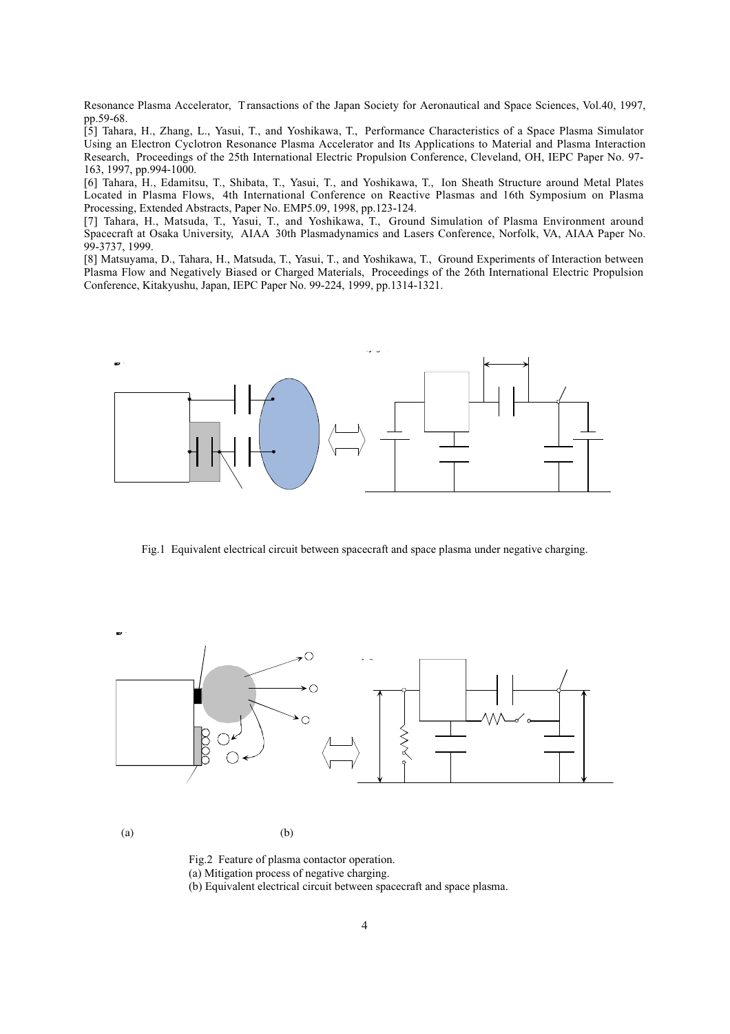Resonance Plasma Accelerator, T ransactions of the Japan Society for Aeronautical and Space Sciences, Vol.40, 1997, pp.59-68.

[5] Tahara, H., Zhang, L., Yasui, T., and Yoshikawa, T., Performance Characteristics of a Space Plasma Simulator Using an Electron Cyclotron Resonance Plasma Accelerator and Its Applications to Material and Plasma Interaction Research, Proceedings of the 25th International Electric Propulsion Conference, Cleveland, OH, IEPC Paper No. 97- 163, 1997, pp.994-1000.

[6] Tahara, H., Edamitsu, T., Shibata, T., Yasui, T., and Yoshikawa, T., Ion Sheath Structure around Metal Plates Located in Plasma Flows, 4th International Conference on Reactive Plasmas and 16th Symposium on Plasma Processing, Extended Abstracts, Paper No. EMP5.09, 1998, pp.123-124.

[7] Tahara, H., Matsuda, T., Yasui, T., and Yoshikawa, T., Ground Simulation of Plasma Environment around Spacecraft at Osaka University, AIAA 30th Plasmadynamics and Lasers Conference, Norfolk, VA, AIAA Paper No. 99-3737, 1999.

[8] Matsuyama, D., Tahara, H., Matsuda, T., Yasui, T., and Yoshikawa, T., Ground Experiments of Interaction between Plasma Flow and Negatively Biased or Charged Materials, Proceedings of the 26th International Electric Propulsion Conference, Kitakyushu, Japan, IEPC Paper No. 99-224, 1999, pp.1314-1321.



Fig.1 Equivalent electrical circuit between spacecraft and space plasma under negative charging.



 $(a)$  (b)

Fig.2 Feature of plasma contactor operation.

(a) Mitigation process of negative charging.

(b) Equivalent electrical circuit between spacecraft and space plasma.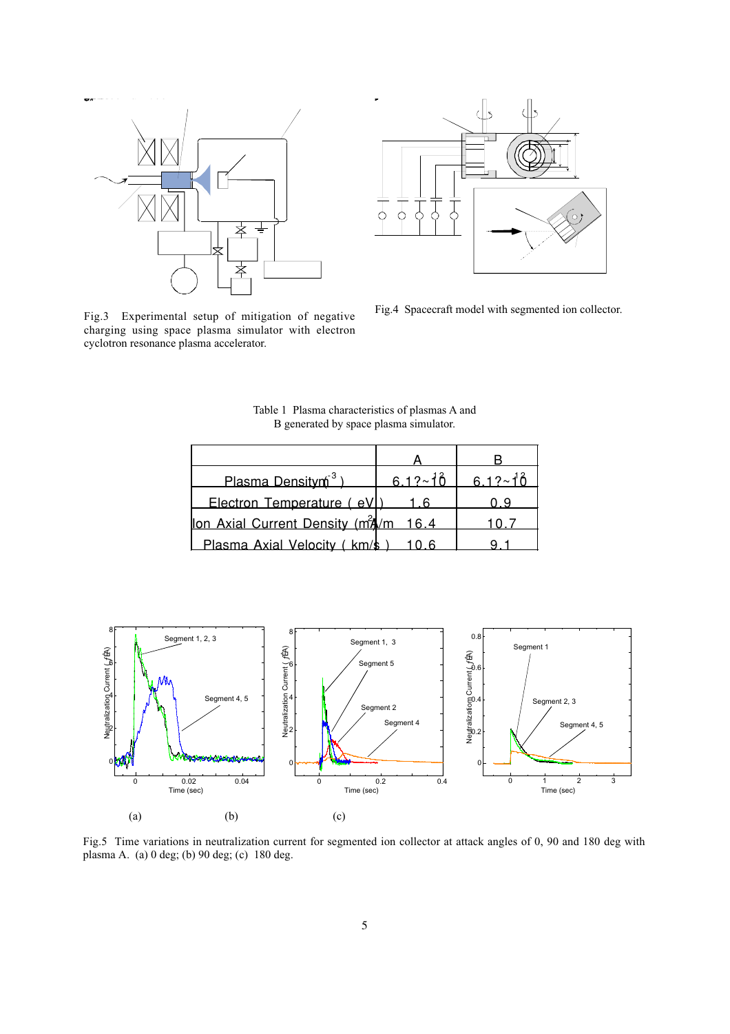

Fig.3 Experimental setup of mitigation of negative charging using space plasma simulator with electron cyclotron resonance plasma accelerator.



Fig.4 Spacecraft model with segmented ion collector.

| Plasma Densitvm <sup>3</sup>         | $6.1?~1$ <sup>1</sup> 0 | $612 - 10$ |
|--------------------------------------|-------------------------|------------|
| Electron Temperature (eVI)           |                         |            |
| lon Axial Current Density (m2/m 16.4 |                         |            |
| Plasma Axial Velocity ( km/s)        |                         |            |

Table 1 Plasma characteristics of plasmas A and B generated by space plasma simulator.



Fig.5 Time variations in neutralization current for segmented ion collector at attack angles of 0, 90 and 180 deg with plasma A. (a) 0 deg; (b) 90 deg; (c) 180 deg.